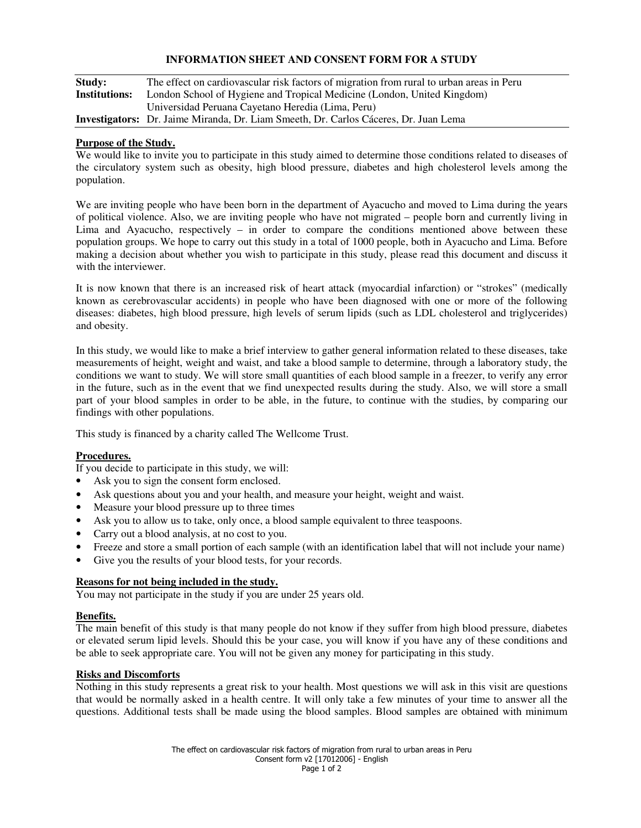## **INFORMATION SHEET AND CONSENT FORM FOR A STUDY**

| Study:        | The effect on cardiovascular risk factors of migration from rural to urban areas in Peru    |
|---------------|---------------------------------------------------------------------------------------------|
| Institutions: | London School of Hygiene and Tropical Medicine (London, United Kingdom)                     |
|               | Universidad Peruana Cayetano Heredia (Lima, Peru)                                           |
|               | <b>Investigators:</b> Dr. Jaime Miranda, Dr. Liam Smeeth, Dr. Carlos Cáceres, Dr. Juan Lema |

### **Purpose of the Study.**

We would like to invite you to participate in this study aimed to determine those conditions related to diseases of the circulatory system such as obesity, high blood pressure, diabetes and high cholesterol levels among the population.

We are inviting people who have been born in the department of Ayacucho and moved to Lima during the years of political violence. Also, we are inviting people who have not migrated – people born and currently living in Lima and Ayacucho, respectively – in order to compare the conditions mentioned above between these population groups. We hope to carry out this study in a total of 1000 people, both in Ayacucho and Lima. Before making a decision about whether you wish to participate in this study, please read this document and discuss it with the interviewer.

It is now known that there is an increased risk of heart attack (myocardial infarction) or "strokes" (medically known as cerebrovascular accidents) in people who have been diagnosed with one or more of the following diseases: diabetes, high blood pressure, high levels of serum lipids (such as LDL cholesterol and triglycerides) and obesity.

In this study, we would like to make a brief interview to gather general information related to these diseases, take measurements of height, weight and waist, and take a blood sample to determine, through a laboratory study, the conditions we want to study. We will store small quantities of each blood sample in a freezer, to verify any error in the future, such as in the event that we find unexpected results during the study. Also, we will store a small part of your blood samples in order to be able, in the future, to continue with the studies, by comparing our findings with other populations.

This study is financed by a charity called The Wellcome Trust.

### **Procedures.**

If you decide to participate in this study, we will:

- Ask you to sign the consent form enclosed.
- Ask questions about you and your health, and measure your height, weight and waist.
- Measure your blood pressure up to three times
- Ask you to allow us to take, only once, a blood sample equivalent to three teaspoons.
- Carry out a blood analysis, at no cost to you.
- Freeze and store a small portion of each sample (with an identification label that will not include your name)
- Give you the results of your blood tests, for your records.

#### **Reasons for not being included in the study.**

You may not participate in the study if you are under 25 years old.

### **Benefits.**

The main benefit of this study is that many people do not know if they suffer from high blood pressure, diabetes or elevated serum lipid levels. Should this be your case, you will know if you have any of these conditions and be able to seek appropriate care. You will not be given any money for participating in this study.

### **Risks and Discomforts**

Nothing in this study represents a great risk to your health. Most questions we will ask in this visit are questions that would be normally asked in a health centre. It will only take a few minutes of your time to answer all the questions. Additional tests shall be made using the blood samples. Blood samples are obtained with minimum